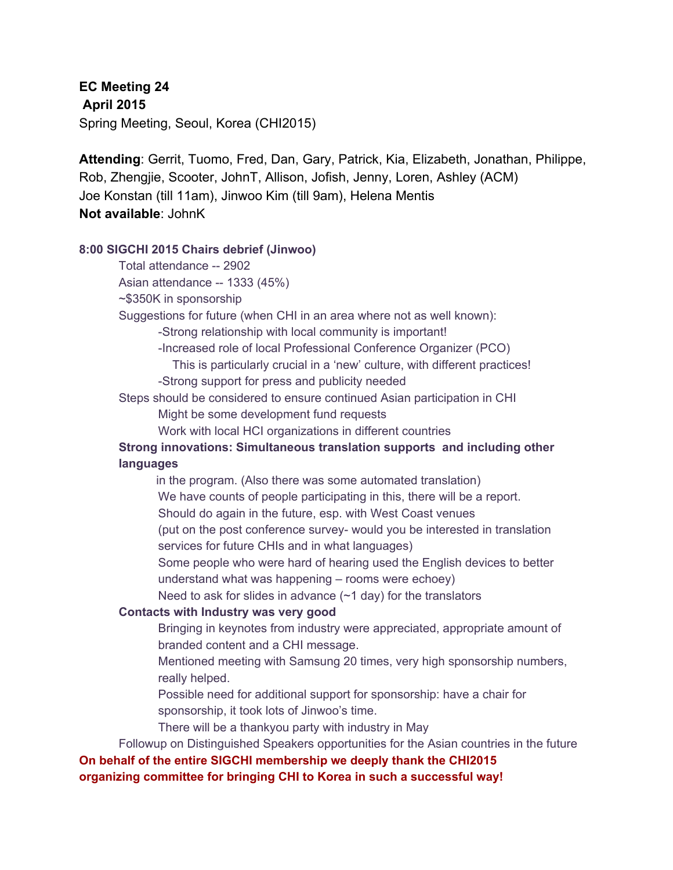**EC Meeting 24 April 2015** Spring Meeting, Seoul, Korea (CHI2015)

**Attending**: Gerrit, Tuomo, Fred, Dan, Gary, Patrick, Kia, Elizabeth, Jonathan, Philippe, Rob, Zhengjie, Scooter, JohnT, Allison, Jofish, Jenny, Loren, Ashley (ACM) Joe Konstan (till 11am), Jinwoo Kim (till 9am), Helena Mentis **Not available**: JohnK

#### **8:00 SIGCHI 2015 Chairs debrief (Jinwoo)**

Total attendance -- 2902

Asian attendance -- 1333 (45%)

~\$350K in sponsorship

Suggestions for future (when CHI in an area where not as well known):

Strong relationship with local community is important!

Increased role of local Professional Conference Organizer (PCO)

This is particularly crucial in a 'new' culture, with different practices!

Strong support for press and publicity needed

Steps should be considered to ensure continued Asian participation in CHI

Might be some development fund requests

Work with local HCI organizations in different countries

### **Strong innovations: Simultaneous translation supports and including other languages**

in the program. (Also there was some automated translation) We have counts of people participating in this, there will be a report. Should do again in the future, esp. with West Coast venues (put on the post conference survey- would you be interested in translation services for future CHIs and in what languages)

Some people who were hard of hearing used the English devices to better understand what was happening – rooms were echoey)

Need to ask for slides in advance  $(-1 \text{ day})$  for the translators

#### **Contacts with Industry was very good**

Bringing in keynotes from industry were appreciated, appropriate amount of branded content and a CHI message.

Mentioned meeting with Samsung 20 times, very high sponsorship numbers, really helped.

Possible need for additional support for sponsorship: have a chair for sponsorship, it took lots of Jinwoo's time.

There will be a thankyou party with industry in May

Followup on Distinguished Speakers opportunities for the Asian countries in the future

# **On behalf of the entire SIGCHI membership we deeply thank the CHI2015**

**organizing committee for bringing CHI to Korea in such a successful way!**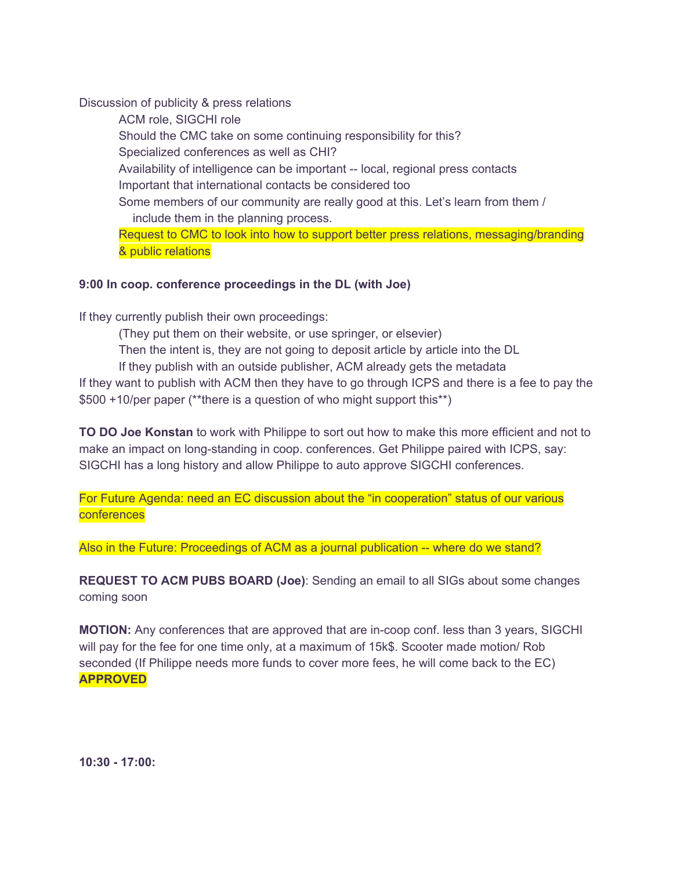Discussion of publicity & press relations

ACM role, SIGCHI role Should the CMC take on some continuing responsibility for this? Specialized conferences as well as CHI? Availability of intelligence can be important -- local, regional press contacts Important that international contacts be considered too Some members of our community are really good at this. Let's learn from them / include them in the planning process. Request to CMC to look into how to support better press relations, messaging/branding & public relations

### **9:00 In coop. conference proceedings in the DL (with Joe)**

If they currently publish their own proceedings:

(They put them on their website, or use springer, or elsevier) Then the intent is, they are not going to deposit article by article into the DL If they publish with an outside publisher, ACM already gets the metadata If they want to publish with ACM then they have to go through ICPS and there is a fee to pay the \$500 +10/per paper (\*\*there is a question of who might support this\*\*)

**TO DO Joe Konstan** to work with Philippe to sort out how to make this more efficient and not to make an impact on long-standing in coop. conferences. Get Philippe paired with ICPS, say: SIGCHI has a long history and allow Philippe to auto approve SIGCHI conferences.

For Future Agenda: need an EC discussion about the "in cooperation" status of our various conferences

Also in the Future: Proceedings of ACM as a journal publication -- where do we stand?

**REQUEST TO ACM PUBS BOARD (Joe)**: Sending an email to all SIGs about some changes coming soon

**MOTION:** Any conferences that are approved that are in-coop conf. less than 3 years, SIGCHI will pay for the fee for one time only, at a maximum of 15k\$. Scooter made motion/ Rob seconded (If Philippe needs more funds to cover more fees, he will come back to the EC) **APPROVED**

**10:30 17:00:**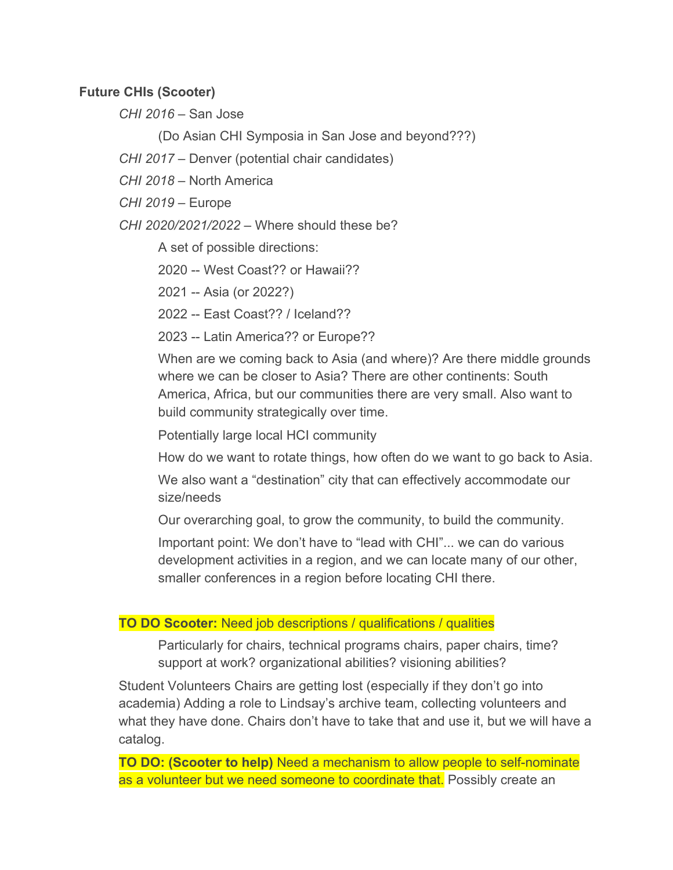### **Future CHIs (Scooter)**

*CHI 2016* – San Jose

(Do Asian CHI Symposia in San Jose and beyond???)

*CHI 2017* – Denver (potential chair candidates)

*CHI 2018* – North America

*CHI 2019* – Europe

*CHI 2020/2021/2022* – Where should these be?

A set of possible directions:

2020 -- West Coast?? or Hawaii??

2021 -- Asia (or 2022?)

2022 -- East Coast?? / Iceland??

2023 -- Latin America?? or Europe??

When are we coming back to Asia (and where)? Are there middle grounds where we can be closer to Asia? There are other continents: South America, Africa, but our communities there are very small. Also want to build community strategically over time.

Potentially large local HCI community

How do we want to rotate things, how often do we want to go back to Asia.

We also want a "destination" city that can effectively accommodate our size/needs

Our overarching goal, to grow the community, to build the community.

Important point: We don't have to "lead with CHI"... we can do various development activities in a region, and we can locate many of our other, smaller conferences in a region before locating CHI there.

## **TO DO Scooter:** Need job descriptions / qualifications / qualities

Particularly for chairs, technical programs chairs, paper chairs, time? support at work? organizational abilities? visioning abilities?

Student Volunteers Chairs are getting lost (especially if they don't go into academia) Adding a role to Lindsay's archive team, collecting volunteers and what they have done. Chairs don't have to take that and use it, but we will have a catalog.

**TO DO:** (Scooter to help) Need a mechanism to allow people to self-nominate as a volunteer but we need someone to coordinate that. Possibly create an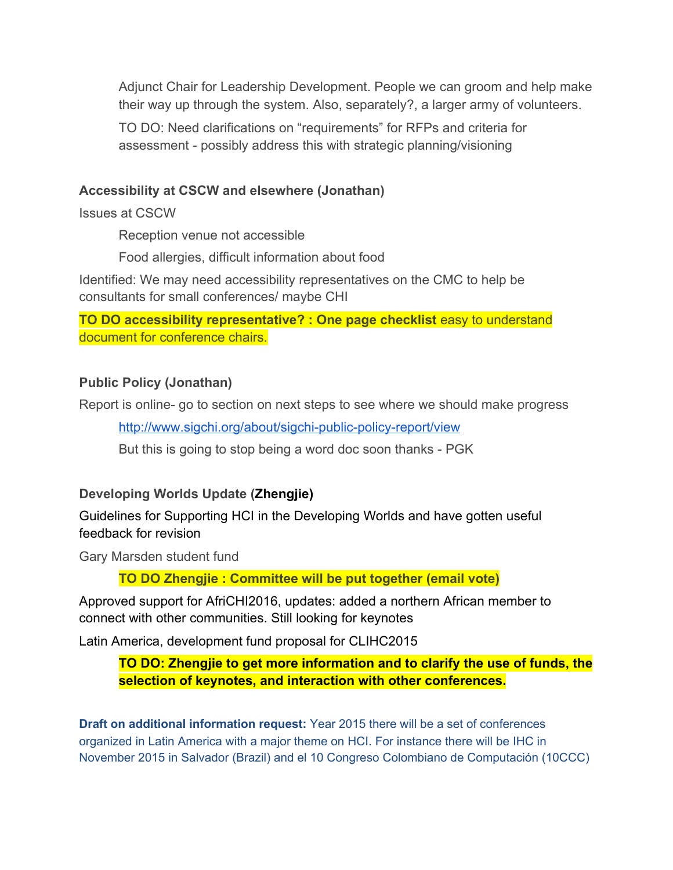Adjunct Chair for Leadership Development. People we can groom and help make their way up through the system. Also, separately?, a larger army of volunteers.

TO DO: Need clarifications on "requirements" for RFPs and criteria for assessment - possibly address this with strategic planning/visioning

# **Accessibility at CSCW and elsewhere (Jonathan)**

Issues at CSCW

Reception venue not accessible

Food allergies, difficult information about food

Identified: We may need accessibility representatives on the CMC to help be consultants for small conferences/ maybe CHI

**TO DO accessibility representative? : One page checklist** easy to understand document for conference chairs.

# **Public Policy (Jonathan)**

Report is online- go to section on next steps to see where we should make progress

http://www.sigchi.org/about/sigchi-public-policy-report/view

But this is going to stop being a word doc soon thanks - PGK

# **Developing Worlds Update (Zhengjie)**

Guidelines for Supporting HCI in the Developing Worlds and have gotten useful feedback for revision

Gary Marsden student fund

**TO DO Zhengjie : Committee will be put together (email vote)**

Approved support for AfriCHI2016, updates: added a northern African member to connect with other communities. Still looking for keynotes

Latin America, development fund proposal for CLIHC2015

**TO DO: Zhengjie to get more information and to clarify the use of funds, the selection of keynotes, and interaction with other conferences.**

**Draft on additional information request:** Year 2015 there will be a set of conferences organized in Latin America with a major theme on HCI. For instance there will be IHC in November 2015 in Salvador (Brazil) and el 10 Congreso Colombiano de Computación (10CCC)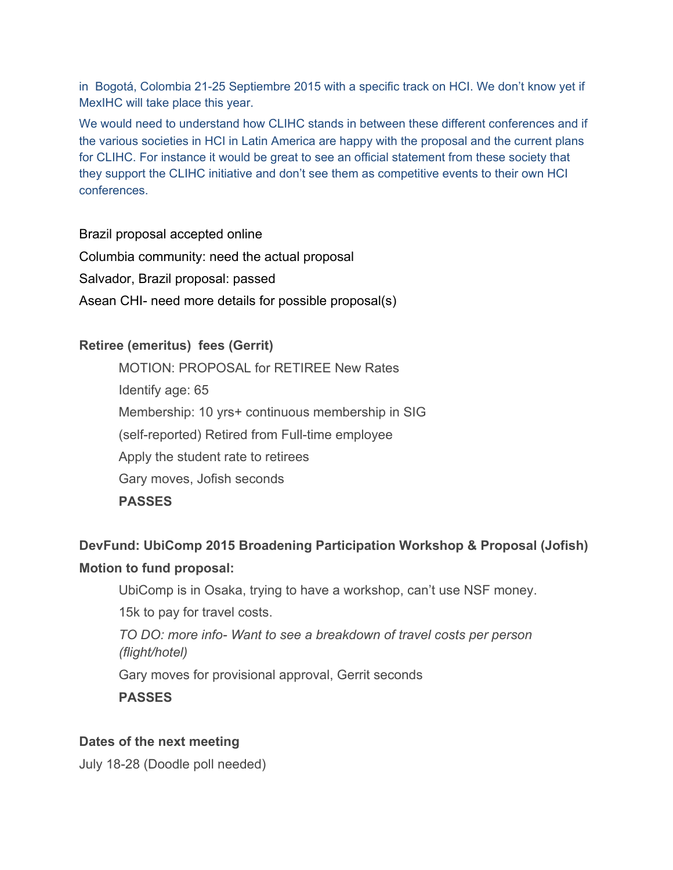in Bogotá, Colombia 2125 Septiembre 2015 with a specific track on HCI. We don't know yet if MexIHC will take place this year.

We would need to understand how CLIHC stands in between these different conferences and if the various societies in HCI in Latin America are happy with the proposal and the current plans for CLIHC. For instance it would be great to see an official statement from these society that they support the CLIHC initiative and don't see them as competitive events to their own HCI conferences.

Brazil proposal accepted online

Columbia community: need the actual proposal

Salvador, Brazil proposal: passed

Asean CHI- need more details for possible proposal(s)

# **Retiree (emeritus) fees (Gerrit)**

MOTION: PROPOSAL for RETIREE New Rates Identify age: 65 Membership: 10 yrs+ continuous membership in SIG (self-reported) Retired from Full-time employee Apply the student rate to retirees Gary moves, Jofish seconds **PASSES**

# **DevFund: UbiComp 2015 Broadening Participation Workshop & Proposal (Jofish) Motion to fund proposal:**

UbiComp is in Osaka, trying to have a workshop, can't use NSF money.

15k to pay for travel costs.

*TO DO: more info Want to see a breakdown of travel costs per person (flight/hotel)*

Gary moves for provisional approval, Gerrit seconds

**PASSES**

## **Dates of the next meeting**

July 1828 (Doodle poll needed)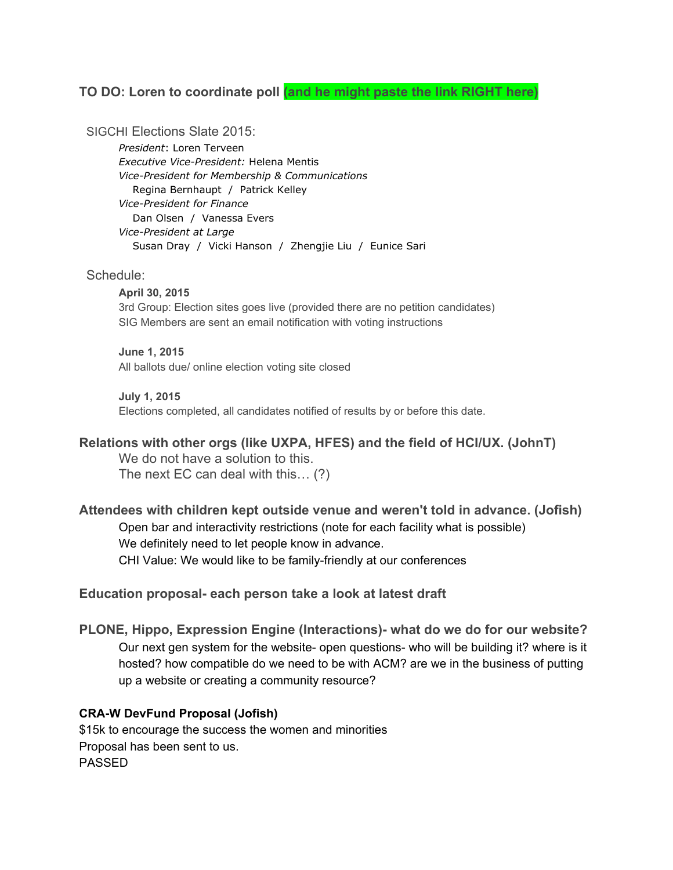### **TO DO: Loren to coordinate poll (and he might paste the link RIGHT here)**

SIGCHI Elections Slate 2015:

*President*: Loren Terveen **Executive Vice-President: Helena Mentis** *VicePresident for Membership & Communications* Regina Bernhaupt / Patrick Kelley *VicePresident for Finance* Dan Olsen / Vanessa Evers *Vice-President at Large* Susan Dray / Vicki Hanson / Zhengjie Liu / Eunice Sari

#### Schedule:

**April 30, 2015** 3rd Group: Election sites goes live (provided there are no petition candidates) SIG Members are sent an email notification with voting instructions

#### **June 1, 2015**

All ballots due/ online election voting site closed

#### **July 1, 2015**

Elections completed, all candidates notified of results by or before this date.

#### **Relations with other orgs (like UXPA, HFES) and the field of HCI/UX. (JohnT)**

We do not have a solution to this. The next EC can deal with this… (?)

**Attendees with children kept outside venue and weren't told in advance. (Jofish)** Open bar and interactivity restrictions (note for each facility what is possible) We definitely need to let people know in advance. CHI Value: We would like to be family-friendly at our conferences

#### **Education proposal each person take a look at latest draft**

**PLONE, Hippo, Expression Engine (Interactions) what do we do for our website?** Our next gen system for the website- open questions- who will be building it? where is it hosted? how compatible do we need to be with ACM? are we in the business of putting up a website or creating a community resource?

#### **CRAW DevFund Proposal (Jofish)**

\$15k to encourage the success the women and minorities Proposal has been sent to us. PASSED